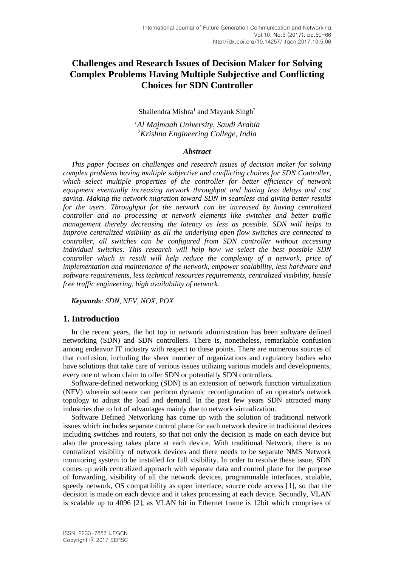# **Challenges and Research Issues of Decision Maker for Solving Complex Problems Having Multiple Subjective and Conflicting Choices for SDN Controller**

Shailendra Mishra<sup>1</sup> and Mayank Singh<sup>2</sup>

*<sup>1</sup>Al Majmaah University, Saudi Arabia <sup>2</sup>Krishna Engineering College, India*

#### *Abstract*

*This paper focuses on challenges and research issues of decision maker for solving complex problems having multiple subjective and conflicting choices for SDN Controller, which select multiple properties of the controller for better efficiency of network equipment eventually increasing network throughput and having less delays and cost saving. Making the network migration toward SDN in seamless and giving better results for the users. Throughput for the network can be increased by having centralized controller and no processing at network elements like switches and better traffic management thereby decreasing the latency as less as possible. SDN will helps to improve centralized visibility as all the underlying open flow switches are connected to controller, all switches can be configured from SDN controller without accessing individual switches. This research will help how we select the best possible SDN controller which in result will help reduce the complexity of a network, price of implementation and maintenance of the network, empower scalability, less hardware and software requirements, less technical resources requirements, centralized visibility, hassle free traffic engineering, high availability of network.*

*Keywords: SDN, NFV, NOX, POX*

#### **1. Introduction**

In the recent years, the hot top in network administration has been software defined networking (SDN) and SDN controllers. There is, nonetheless, remarkable confusion among endeavor IT industry with respect to these points. There are numerous sources of that confusion, including the sheer number of organizations and regulatory bodies who have solutions that take care of various issues utilizing various models and developments, every one of whom claim to offer SDN or potentially SDN controllers.

Software-defined networking (SDN) is an extension of network function virtualization (NFV) wherein software can perform dynamic reconfiguration of an operator's network topology to adjust the load and demand. In the past few years SDN attracted many industries due to lot of advantages mainly due to network virtualization.

Software Defined Networking has come up with the solution of traditional network issues which includes separate control plane for each network device in traditional devices including switches and routers, so that not only the decision is made on each device but also the processing takes place at each device. With traditional Network, there is no centralized visibility of network devices and there needs to be separate NMS Network monitoring system to be installed for full visibility. In order to resolve these issue, SDN comes up with centralized approach with separate data and control plane for the purpose of forwarding, visibility of all the network devices, programmable interfaces, scalable, speedy network, OS compatibility as open interface, source code access [1], so that the decision is made on each device and it takes processing at each device. Secondly, VLAN is scalable up to 4096 [2], as VLAN bit in Ethernet frame is 12bit which comprises of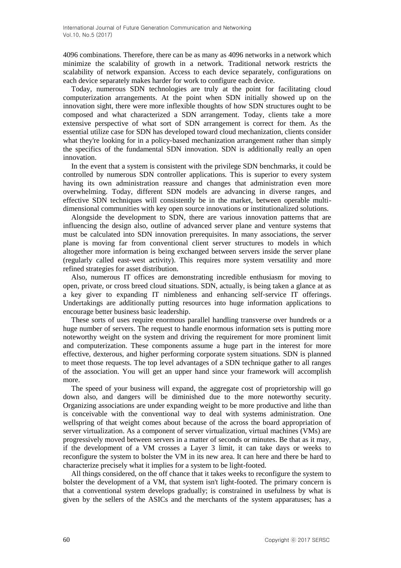4096 combinations. Therefore, there can be as many as 4096 networks in a network which minimize the scalability of growth in a network. Traditional network restricts the scalability of network expansion. Access to each device separately, configurations on each device separately makes harder for work to configure each device.

Today, numerous SDN technologies are truly at the point for facilitating cloud computerization arrangements. At the point when SDN initially showed up on the innovation sight, there were more inflexible thoughts of how SDN structures ought to be composed and what characterized a SDN arrangement. Today, clients take a more extensive perspective of what sort of SDN arrangement is correct for them. As the essential utilize case for SDN has developed toward cloud mechanization, clients consider what they're looking for in a policy-based mechanization arrangement rather than simply the specifics of the fundamental SDN innovation. SDN is additionally really an open innovation.

In the event that a system is consistent with the privilege SDN benchmarks, it could be controlled by numerous SDN controller applications. This is superior to every system having its own administration reassure and changes that administration even more overwhelming. Today, different SDN models are advancing in diverse ranges, and effective SDN techniques will consistently be in the market, between operable multidimensional communities with key open source innovations or institutionalized solutions.

Alongside the development to SDN, there are various innovation patterns that are influencing the design also, outline of advanced server plane and venture systems that must be calculated into SDN innovation prerequisites. In many associations, the server plane is moving far from conventional client server structures to models in which altogether more information is being exchanged between servers inside the server plane (regularly called east‐west activity). This requires more system versatility and more refined strategies for asset distribution.

Also, numerous IT offices are demonstrating incredible enthusiasm for moving to open, private, or cross breed cloud situations. SDN, actually, is being taken a glance at as a key giver to expanding IT nimbleness and enhancing self‐service IT offerings. Undertakings are additionally putting resources into huge information applications to encourage better business basic leadership.

These sorts of uses require enormous parallel handling transverse over hundreds or a huge number of servers. The request to handle enormous information sets is putting more noteworthy weight on the system and driving the requirement for more prominent limit and computerization. These components assume a huge part in the interest for more effective, dexterous, and higher performing corporate system situations. SDN is planned to meet those requests. The top level advantages of a SDN technique gather to all ranges of the association. You will get an upper hand since your framework will accomplish more.

The speed of your business will expand, the aggregate cost of proprietorship will go down also, and dangers will be diminished due to the more noteworthy security. Organizing associations are under expanding weight to be more productive and lithe than is conceivable with the conventional way to deal with systems administration. One wellspring of that weight comes about because of the across the board appropriation of server virtualization. As a component of server virtualization, virtual machines (VMs) are progressively moved between servers in a matter of seconds or minutes. Be that as it may, if the development of a VM crosses a Layer 3 limit, it can take days or weeks to reconfigure the system to bolster the VM in its new area. It can here and there be hard to characterize precisely what it implies for a system to be light-footed.

All things considered, on the off chance that it takes weeks to reconfigure the system to bolster the development of a VM, that system isn't light-footed. The primary concern is that a conventional system develops gradually; is constrained in usefulness by what is given by the sellers of the ASICs and the merchants of the system apparatuses; has a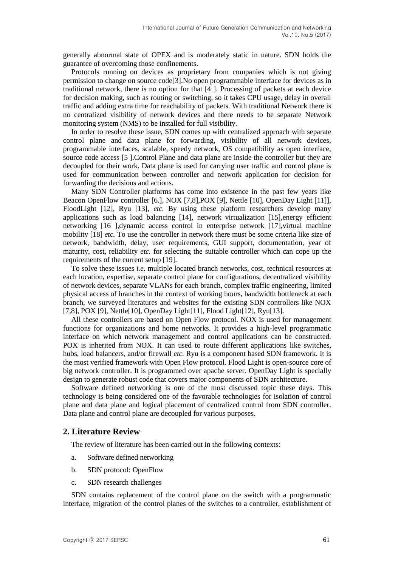generally abnormal state of OPEX and is moderately static in nature. SDN holds the guarantee of overcoming those confinements.

Protocols running on devices as proprietary from companies which is not giving permission to change on source code[3].No open programmable interface for devices as in traditional network, there is no option for that [4 ]. Processing of packets at each device for decision making, such as routing or switching, so it takes CPU usage, delay in overall traffic and adding extra time for reachability of packets. With traditional Network there is no centralized visibility of network devices and there needs to be separate Network monitoring system (NMS) to be installed for full visibility.

In order to resolve these issue, SDN comes up with centralized approach with separate control plane and data plane for forwarding, visibility of all network devices, programmable interfaces, scalable, speedy network, OS compatibility as open interface, source code access [5 ].Control Plane and data plane are inside the controller but they are decoupled for their work. Data plane is used for carrying user traffic and control plane is used for communication between controller and network application for decision for forwarding the decisions and actions.

Many SDN Controller platforms has come into existence in the past few years like Beacon OpenFlow controller [6.], NOX [7,8],POX [9], Nettle [10], OpenDay Light [11]], FloodLight [12], Ryu [13], *etc.* By using these platform researchers develop many applications such as load balancing [14], network virtualization [15],energy efficient networking [16], dynamic access control in enterprise network [17], virtual machine mobility [18] *etc.* To use the controller in network there must be some criteria like size of network, bandwidth, delay, user requirements, GUI support, documentation, year of maturity, cost, reliability *etc.* for selecting the suitable controller which can cope up the requirements of the current setup [19].

To solve these issues *i.e.* multiple located branch networks, cost, technical resources at each location, expertise, separate control plane for configurations, decentralized visibility of network devices, separate VLANs for each branch, complex traffic engineering, limited physical access of branches in the context of working hours, bandwidth bottleneck at each branch, we surveyed literatures and websites for the existing SDN controllers like NOX [7,8], POX [9], Nettle[10], OpenDay Light[11], Flood Light[12], Ryu[13].

All these controllers are based on Open Flow protocol. NOX is used for management functions for organizations and home networks. It provides a high-level programmatic interface on which network management and control applications can be constructed. POX is inherited from NOX. It can used to route different applications like switches, hubs, load balancers, and/or firewall *etc.* Ryu is a component based SDN framework. It is the most verified framework with Open Flow protocol. Flood Light is open-source core of big network controller. It is programmed over apache server. OpenDay Light is specially design to generate robust code that covers major components of SDN architecture.

Software defined networking is one of the most discussed topic these days. This technology is being considered one of the favorable technologies for isolation of control plane and data plane and logical placement of centralized control from SDN controller. Data plane and control plane are decoupled for various purposes.

## **2. Literature Review**

The review of literature has been carried out in the following contexts:

- a. Software defined networking
- b. SDN protocol: OpenFlow
- c. SDN research challenges

SDN contains replacement of the control plane on the switch with a programmatic interface, migration of the control planes of the switches to a controller, establishment of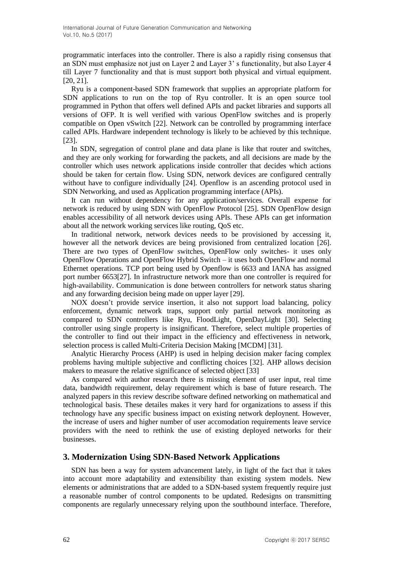programmatic interfaces into the controller. There is also a rapidly rising consensus that an SDN must emphasize not just on Layer 2 and Layer 3' s functionality, but also Layer 4 till Layer 7 functionality and that is must support both physical and virtual equipment. [20, 21].

Ryu is a component-based SDN framework that supplies an appropriate platform for SDN applications to run on the top of Ryu controller. It is an open source tool programmed in Python that offers well defined APIs and packet libraries and supports all versions of OFP. It is well verified with various OpenFlow switches and is properly compatible on Open vSwitch [22]. Network can be controlled by programming interface called APIs. Hardware independent technology is likely to be achieved by this technique. [23].

In SDN, segregation of control plane and data plane is like that router and switches, and they are only working for forwarding the packets, and all decisions are made by the controller which uses network applications inside controller that decides which actions should be taken for certain flow. Using SDN, network devices are configured centrally without have to configure individually [24]. Openflow is an ascending protocol used in SDN Networking, and used as Application programming interface (APIs).

It can run without dependency for any application/services. Overall expense for network is reduced by using SDN with OpenFlow Protocol [25]. SDN OpenFlow design enables accessibility of all network devices using APIs. These APIs can get information about all the network working services like routing, QoS etc.

In traditional network, network devices needs to be provisioned by accessing it, however all the network devices are being provisioned from centralized location [26]. There are two types of OpenFlow switches, OpenFlow only switches- it uses only OpenFlow Operations and OpenFlow Hybrid Switch – it uses both OpenFlow and normal Ethernet operations. TCP port being used by Openflow is 6633 and IANA has assigned port number 6653[27]. In infrastructure network more than one controller is required for high-availability. Communication is done between controllers for network status sharing and any forwarding decision being made on upper layer [29].

NOX doesn't provide service insertion, it also not support load balancing, policy enforcement, dynamic network traps, support only partial network monitoring as compared to SDN controllers like Ryu, FloodLight, OpenDayLight [30]. Selecting controller using single property is insignificant. Therefore, select multiple properties of the controller to find out their impact in the efficiency and effectiveness in network, selection process is called Multi-Criteria Decision Making [MCDM] [31].

Analytic Hierarchy Process (AHP) is used in helping decision maker facing complex problems having multiple subjective and conflicting choices [32]. AHP allows decision makers to measure the relative significance of selected object [33]

As compared with author research there is missing element of user input, real time data, bandwidth requirement, delay requirement which is base of future research. The analyzed papers in this review describe software defined networking on mathematical and technological basis. These detailes makes it very hard for organizations to assess if this technology have any specific business impact on existing network deploynent. However, the increase of users and higher number of user accomodation requirements leave service providers with the need to rethink the use of existing deployed networks for their businesses.

## **3. Modernization Using SDN-Based Network Applications**

SDN has been a way for system advancement lately, in light of the fact that it takes into account more adaptability and extensibility than existing system models. New elements or administrations that are added to a SDN-based system frequently require just a reasonable number of control components to be updated. Redesigns on transmitting components are regularly unnecessary relying upon the southbound interface. Therefore,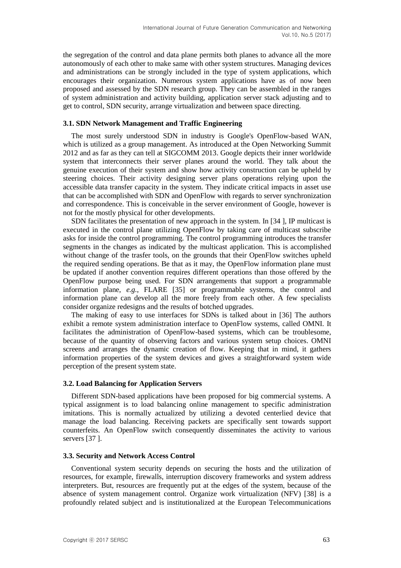the segregation of the control and data plane permits both planes to advance all the more autonomously of each other to make same with other system structures. Managing devices and administrations can be strongly included in the type of system applications, which encourages their organization. Numerous system applications have as of now been proposed and assessed by the SDN research group. They can be assembled in the ranges of system administration and activity building, application server stack adjusting and to get to control, SDN security, arrange virtualization and between space directing.

#### **3.1. SDN Network Management and Traffic Engineering**

The most surely understood SDN in industry is Google's OpenFlow-based WAN, which is utilized as a group management. As introduced at the Open Networking Summit 2012 and as far as they can tell at SIGCOMM 2013. Google depicts their inner worldwide system that interconnects their server planes around the world. They talk about the genuine execution of their system and show how activity construction can be upheld by steering choices. Their activity designing server plans operations relying upon the accessible data transfer capacity in the system. They indicate critical impacts in asset use that can be accomplished with SDN and OpenFlow with regards to server synchronization and correspondence. This is conceivable in the server environment of Google, however is not for the mostly physical for other developments.

SDN facilitates the presentation of new approach in the system. In [34 ], IP multicast is executed in the control plane utilizing OpenFlow by taking care of multicast subscribe asks for inside the control programming. The control programming introduces the transfer segments in the changes as indicated by the multicast application. This is accomplished without change of the trasfer tools, on the grounds that their OpenFlow switches upheld the required sending operations. Be that as it may, the OpenFlow information plane must be updated if another convention requires different operations than those offered by the OpenFlow purpose being used. For SDN arrangements that support a programmable information plane, *e.g.*, FLARE [35] or programmable systems, the control and information plane can develop all the more freely from each other. A few specialists consider organize redesigns and the results of botched upgrades.

The making of easy to use interfaces for SDNs is talked about in [36] The authors exhibit a remote system administration interface to OpenFlow systems, called OMNI. It facilitates the administration of OpenFlow-based systems, which can be troublesome, because of the quantity of observing factors and various system setup choices. OMNI screens and arranges the dynamic creation of flow. Keeping that in mind, it gathers information properties of the system devices and gives a straightforward system wide perception of the present system state.

#### **3.2. Load Balancing for Application Servers**

Different SDN-based applications have been proposed for big commercial systems. A typical assignment is to load balancing online management to specific administration imitations. This is normally actualized by utilizing a devoted centerlied device that manage the load balancing. Receiving packets are specifically sent towards support counterfeits. An OpenFlow switch consequently disseminates the activity to various servers [37].

#### **3.3. Security and Network Access Control**

Conventional system security depends on securing the hosts and the utilization of resources, for example, firewalls, interruption discovery frameworks and system address interpreters. But, resources are frequently put at the edges of the system, because of the absence of system management control. Organize work virtualization (NFV) [38] is a profoundly related subject and is institutionalized at the European Telecommunications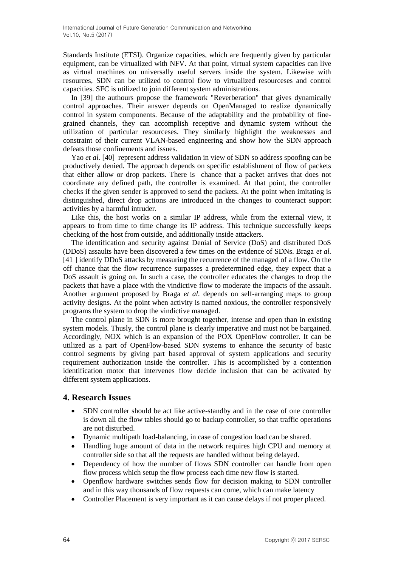Standards Institute (ETSI). Organize capacities, which are frequently given by particular equipment, can be virtualized with NFV. At that point, virtual system capacities can live as virtual machines on universally useful servers inside the system. Likewise with resources, SDN can be utilized to control flow to virtualized resourceses and control capacities. SFC is utilized to join different system administrations.

In [39] the authours propose the framework "Reverberation" that gives dynamically control approaches. Their answer depends on OpenManaged to realize dynamically control in system components. Because of the adaptability and the probability of finegrained channels, they can accomplish receptive and dynamic system without the utilization of particular resourceses. They similarly highlight the weaknesses and constraint of their current VLAN-based engineering and show how the SDN approach defeats those confinements and issues.

Yao *et al.* [40] represent address validation in view of SDN so address spoofing can be productively denied. The approach depends on specific establishment of flow of packets that either allow or drop packets. There is chance that a packet arrives that does not coordinate any defined path, the controller is examined. At that point, the controller checks if the given sender is approved to send the packets. At the point when imitating is distinguished, direct drop actions are introduced in the changes to counteract support activities by a harmful intruder.

Like this, the host works on a similar IP address, while from the external view, it appears to from time to time change its IP address. This technique successfully keeps checking of the host from outside, and additionally inside attackers.

The identification and security against Denial of Service (DoS) and distributed DoS (DDoS) assaults have been discovered a few times on the evidence of SDNs. Braga *et al.* [41 ] identify DDoS attacks by measuring the recurrence of the managed of a flow. On the off chance that the flow recurrence surpasses a predetermined edge, they expect that a DoS assault is going on. In such a case, the controller educates the changes to drop the packets that have a place with the vindictive flow to moderate the impacts of the assault. Another argument proposed by Braga *et al.* depends on self-arranging maps to group activity designs. At the point when activity is named noxious, the controller responsively programs the system to drop the vindictive managed.

The control plane in SDN is more brought together, intense and open than in existing system models. Thusly, the control plane is clearly imperative and must not be bargained. Accordingly, NOX which is an expansion of the POX OpenFlow controller. It can be utilized as a part of OpenFlow-based SDN systems to enhance the security of basic control segments by giving part based approval of system applications and security requirement authorization inside the controller. This is accomplished by a contention identification motor that intervenes flow decide inclusion that can be activated by different system applications.

## **4. Research Issues**

- SDN controller should be act like active-standby and in the case of one controller is down all the flow tables should go to backup controller, so that traffic operations are not disturbed.
- Dynamic multipath load-balancing, in case of congestion load can be shared.
- Handling huge amount of data in the network requires high CPU and memory at controller side so that all the requests are handled without being delayed.
- Dependency of how the number of flows SDN controller can handle from open flow process which setup the flow process each time new flow is started.
- Openflow hardware switches sends flow for decision making to SDN controller and in this way thousands of flow requests can come, which can make latency
- Controller Placement is very important as it can cause delays if not proper placed.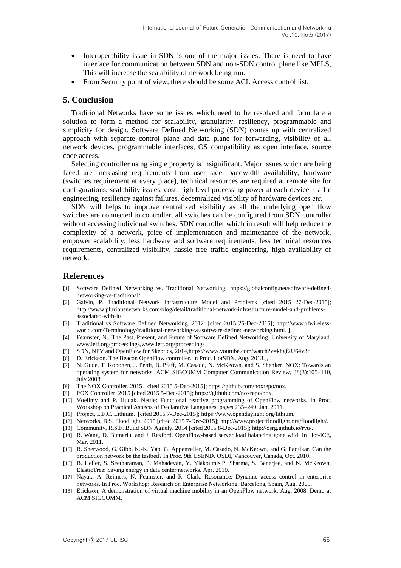- Interoperability issue in SDN is one of the major issues. There is need to have interface for communication between SDN and non-SDN control plane like MPLS, This will increase the scalability of network being run.
- From Security point of view, there should be some ACL Access control list.

## **5. Conclusion**

Traditional Networks have some issues which need to be resolved and formulate a solution to form a method for scalability, granularity, resiliency, programmable and simplicity for design. Software Defined Networking (SDN) comes up with centralized approach with separate control plane and data plane for forwarding, visibility of all network devices, programmable interfaces, OS compatibility as open interface, source code access.

Selecting controller using single property is insignificant. Major issues which are being faced are increasing requirements from user side, bandwidth availability, hardware (switches requirement at every place), technical resources are required at remote site for configurations, scalability issues, cost, high level processing power at each device, traffic engineering, resiliency against failures, decentralized visibility of hardware devices *etc.*

SDN will helps to improve centralized visibility as all the underlying open flow switches are connected to controller, all switches can be configured from SDN controller without accessing individual switches. SDN controller which in result will help reduce the complexity of a network, price of implementation and maintenance of the network, empower scalability, less hardware and software requirements, less technical resources requirements, centralized visibility, hassle free traffic engineering, high availability of network.

### **References**

- [1] Software Defined Networking vs. Traditional Networking, [https://globalconfig.net/software-defined](https://globalconfig.net/software-defined-networking-vs-traditional/)[networking-vs-traditional/.](https://globalconfig.net/software-defined-networking-vs-traditional/)
- [2] Galvin, P. Traditional Network Infrastructure Model and Problems [cited 2015 27-Dec-2015]; [http://www.pluribusnetworks.com/blog/detail/traditional-network-infrastructure-model-and-problems](http://www.pluribusnetworks.com/blog/detail/traditional-network-infrastructure-model-and-problems-associated-with-it/)[associated-with-it/](http://www.pluribusnetworks.com/blog/detail/traditional-network-infrastructure-model-and-problems-associated-with-it/)
- [3] Traditional vs Software Defined Networking. 2012 [cited 2015 25-Dec-2015]; [http://www.rfwireless](http://www.rfwireless-world.com/Terminology/traditional-networking-vs-software-defined-networking.html)[world.com/Terminology/traditional-networking-vs-software-defined-networking.html.](http://www.rfwireless-world.com/Terminology/traditional-networking-vs-software-defined-networking.html) ].
- [4] Feamster, N., The Past, Present, and Future of Software Defined Networking. University of Maryland. [www.ietf.org/proceedings,www.ietf.org/proceedings](http://www.ietf.org/proceedings)
- [5] SDN, NFV and OpenFlow for Skeptics, 2014,https://www.youtube.com/watch?v=khgf2U64v3c
- [6] D. Erickson. The Beacon OpenFlow controller. In Proc. HotSDN, Aug. 2013.],
- [7] N. Gude, T. Koponen, J. Pettit, B. Pfaff, M. Casado, N. McKeown, and S. Shenker. NOX: Towards an operating system for networks. ACM SIGCOMM Computer Communication Review, 38(3):105–110, July 2008.
- [8] The NOX Controller. 2015 [cited 2015 5-Dec-2015][; https://github.com/noxrepo/nox.](https://github.com/noxrepo/nox)
- [9] POX Controller. 2015 [cited 2015 5-Dec-2015]; https://github.com/noxrepo/pox.
- [10] Voellmy and P. Hudak. Nettle: Functional reactive programming of OpenFlow networks. In Proc. Workshop on Practical Aspects of Declarative Languages, pages 235–249, Jan. 2011.
- [11] Project, L.F.C. Lithium. [cited 2015 7-Dec-2015]; https://www.opendaylight.org/lithium.
- [12] Networks, B.S. Floodlight. 2015 [cited 2015 7-Dec-2015]; http://www.projectfloodlight.org/floodlight/.
- [13] Community, R.S.F. Build SDN Agilely. 2014 [cited 2015 8-Dec-2015]; http://osrg.github.io/ryu/.
- [14] R. Wang, D. Butnariu, and J. Rexford. OpenFlow-based server load balancing gone wild. In Hot-ICE, Mar. 2011.
- [15] R. Sherwood, G. Gibb, K.-K. Yap, G. Appenzeller, M. Casado, N. McKeown, and G. Parulkar. Can the production network be the testbed? In Proc. 9th USENIX OSDI, Vancouver, Canada, Oct. 2010.
- [16] B. Heller, S. Seetharaman, P. Mahadevan, Y. Yiakoumis,P. Sharma, S. Banerjee, and N. McKeown. ElasticTree: Saving energy in data center networks. Apr. 2010.
- [17] Nayak, A. Reimers, N. Feamster, and R. Clark. Resonance: Dynamic access control in enterprise networks. In Proc. Workshop: Research on Enterprise Networking, Barcelona, Spain, Aug. 2009.
- [18] Erickson, A demonstration of virtual machine mobility in an OpenFlow network, Aug. 2008. Demo at ACM SIGCOMM.